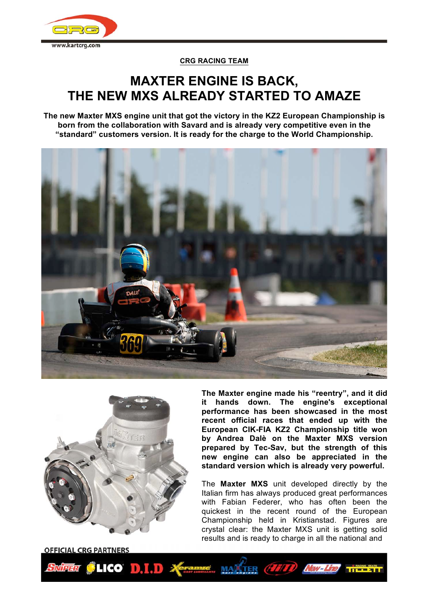

# **CRG RACING TEAM**

# **MAXTER ENGINE IS BACK, THE NEW MXS ALREADY STARTED TO AMAZE**

**The new Maxter MXS engine unit that got the victory in the KZ2 European Championship is born from the collaboration with Savard and is already very competitive even in the "standard" customers version. It is ready for the charge to the World Championship.** 





**The Maxter engine made his "reentry", and it did it hands down. The engine's exceptional performance has been showcased in the most recent official races that ended up with the European CIK-FIA KZ2 Championship title won by Andrea Dalè on the Maxter MXS version prepared by Tec-Sav, but the strength of this new engine can also be appreciated in the standard version which is already very powerful.** 

The **Maxter MXS** unit developed directly by the Italian firm has always produced great performances with Fabian Federer, who has often been the quickest in the recent round of the European Championship held in Kristianstad. Figures are crystal clear: the Maxter MXS unit is getting solid results and is ready to charge in all the national and

**OFFICIAL CRG PARTNERS** 

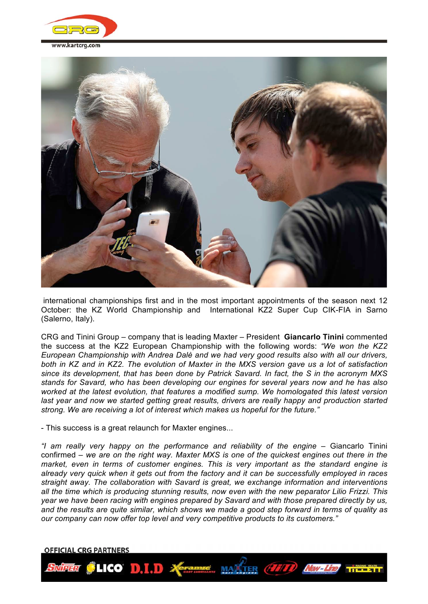



international championships first and in the most important appointments of the season next 12 October: the KZ World Championship and International KZ2 Super Cup CIK-FIA in Sarno (Salerno, Italy).

CRG and Tinini Group – company that is leading Maxter – President **Giancarlo Tinini** commented the success at the KZ2 European Championship with the following words: *"We won the KZ2 European Championship with Andrea Dalè and we had very good results also with all our drivers, both in KZ and in KZ2. The evolution of Maxter in the MXS version gave us a lot of satisfaction since its development, that has been done by Patrick Savard. In fact, the S in the acronym MXS stands for Savard, who has been developing our engines for several years now and he has also worked at the latest evolution, that features a modified sump. We homologated this latest version*  last year and now we started getting great results, drivers are really happy and production started *strong. We are receiving a lot of interest which makes us hopeful for the future."*

- This success is a great relaunch for Maxter engines...

*"I am really very happy on the performance and reliability of the engine – Giancarlo Tinini* confirmed – *we are on the right way. Maxter MXS is one of the quickest engines out there in the market, even in terms of customer engines. This is very important as the standard engine is already very quick when it gets out from the factory and it can be successfully employed in races straight away. The collaboration with Savard is great, we exchange information and interventions all the time which is producing stunning results, now even with the new peparator Lilio Frizzi. This year we have been racing with engines prepared by Savard and with those prepared directly by us, and the results are quite similar, which shows we made a good step forward in terms of quality as our company can now offer top level and very competitive products to its customers."*

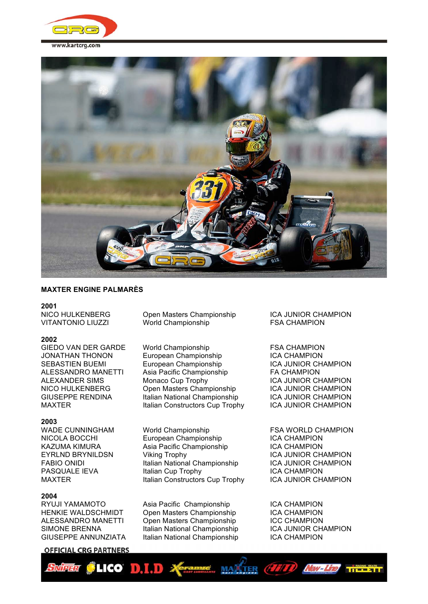



# **MAXTER ENGINE PALMARÈS**

#### **2001**

#### **2002**

**2003**

### **2004**

# **OFFICIAL CRG PARTNERS**

NICO HULKENBERG Open Masters Championship ICA JUNIOR CHAMPION VITANTONIO LIUZZI World Championship FSA CHAMPION

GIEDO VAN DER GARDE World Championship FSA CHAMPION JONATHAN THONON European Championship ICA CHAMPION SEBASTIEN BUEMI **European Championship ICA JUNIOR CHAMPION** ALESSANDRO MANETTI Asia Pacific Championship FA CHAMPION ALEXANDER SIMS Monaco Cup Trophy ICA JUNIOR CHAMPION NICO HULKENBERG Open Masters Championship ICA JUNIOR CHAMPION<br>GIUSEPPE RENDINA Italian National Championship ICA JUNIOR CHAMPION GIUSEPPE RENDINA Italian National Championship ICA JUNIOR CHAMPION<br>Italian Constructors Cup Trophy ICA JUNIOR CHAMPION Italian Constructors Cup Trophy

World Championship **FSA WORLD CHAMPION**<br>Furopean Championship **FICA CHAMPION** NICOLA BOCCHI European Championship KAZUMA KIMURA Asia Pacific Championship ICA CHAMPION EYRLND BRYNILDSN Viking Trophy ICA JUNIOR CHAMPION FABIO ONIDI **Italian National Championship** ICA JUNIOR CHAMPION PASQUALE IEVA Italian Cup Trophy ICA CHAMPION MAXTER **Interpret in the Italian Constructors Cup Trophy** ICA JUNIOR CHAMPION

RYUJI YAMAMOTO Asia Pacific Championship ICA CHAMPION HENKIE WALDSCHMIDT Open Masters Championship ICA CHAMPION ALESSANDRO MANETTI Open Masters Championship ICC CHAMPION SIMONE BRENNA **Italian National Championship** ICA JUNIOR CHAMPION GIUSEPPE ANNUNZIATA Italian National Championship ICA CHAMPION

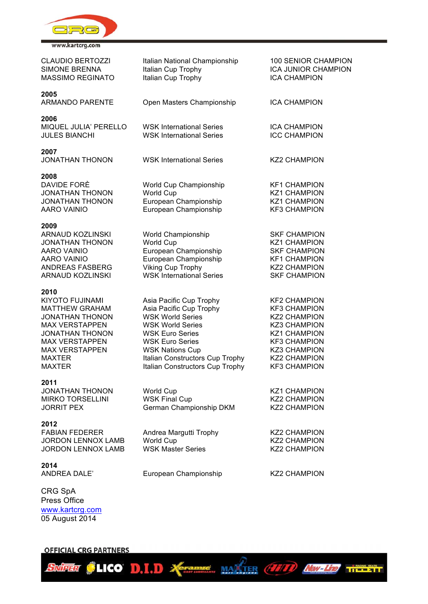

CLAUDIO BERTOZZI lalian National Championship 100 SENIOR CHAMPION SIMONE BRENNA **Italian Cup Trophy** ICA JUNIOR CHAMPION MASSIMO REGINATO ltalian Cup Trophy **ICA CHAMPION 2005** ARMANDO PARENTE Open Masters Championship ICA CHAMPION **2006** MIQUEL JULIA' PERELLO WSK International Series ICA CHAMPION JULES BIANCHI WSK International Series ICC CHAMPION **2007** JONATHAN THONON WSK International Series KZ2 CHAMPION **2008** World Cup Championship KF1 CHAMPION JONATHAN THONON World Cup Norman KZ1 CHAMPION JONATHAN THONON European Championship KZ1 CHAMPION AARO VAINIO European Championship KF3 CHAMPION **2009** ARNAUD KOZLINSKI World Championship SKF CHAMPION JONATHAN THONON World Cup Norman KZ1 CHAMPION AARO VAINIO European Championship SKF CHAMPION AARO VAINIO **European Championship** KF1 CHAMPION ANDREAS FASBERG Viking Cup Trophy KZ2 CHAMPION ARNAUD KOZLINSKI WSK International Series SKF CHAMPION **2010** KIYOTO FUJINAMI Asia Pacific Cup Trophy KF2 CHAMPION MATTHEW GRAHAM Asia Pacific Cup Trophy KF3 CHAMPION JONATHAN THONON WSK World Series KZ2 CHAMPION MAX VERSTAPPEN WSK World Series<br>JONATHAN THONON WSK Euro Series JONATHAN THONON WSK Euro Series KZ1 CHAMPION MAX VERSTAPPEN WSK Euro Series KF3 CHAMPION MAX VERSTAPPEN WSK Nations Cup **KZ3 CHAMPION** MAXTER **Italian Constructors Cup Trophy** KZ2 CHAMPION MAXTER **Italian Constructors Cup Trophy** KF3 CHAMPION **2011** JONATHAN THONON World Cup **KZ1 CHAMPION** MIRKO TORSELLINI WSK Final Cup The Mirk Canadian Mirk C2 CHAMPION JORRIT PEX **German Championship DKM** KZ2 CHAMPION **2012** FABIAN FEDERER **Andrea Margutti Trophy** KZ2 CHAMPION JORDON LENNOX LAMB World Cup Noted Cup Noted Cup KZ2 CHAMPION JORDON LENNOX LAMB WSK Master Series KZ2 CHAMPION **2014** ANDREA DALE' European Championship KZ2 CHAMPION

CLICO D.I.D X TRANSIC MARTIER (HITT) NEW-LID TITLETI

CRG SpA Press Office www.kartcrg.com 05 August 2014

**SNIPERI** 

**OFFICIAL CRG PARTNERS**